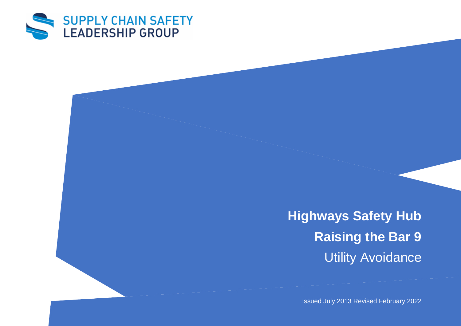

**Highways Safety Hub Raising the Bar 9** Utility Avoidance

Issued July 2013 Revised February 2022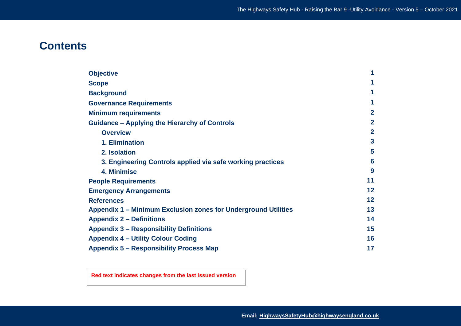# **Contents**

| <b>Objective</b>                                               | 1              |
|----------------------------------------------------------------|----------------|
| <b>Scope</b>                                                   | 1              |
| <b>Background</b>                                              |                |
| <b>Governance Requirements</b>                                 | 1              |
| <b>Minimum requirements</b>                                    | $\overline{2}$ |
| <b>Guidance - Applying the Hierarchy of Controls</b>           | $\overline{2}$ |
| <b>Overview</b>                                                | $\overline{2}$ |
| 1. Elimination                                                 | 3              |
| 2. Isolation                                                   | 5              |
| 3. Engineering Controls applied via safe working practices     | 6              |
| 4. Minimise                                                    | 9              |
| <b>People Requirements</b>                                     | 11             |
| <b>Emergency Arrangements</b>                                  | 12             |
| <b>References</b>                                              | 12             |
| Appendix 1 - Minimum Exclusion zones for Underground Utilities | 13             |
| <b>Appendix 2 – Definitions</b>                                | 14             |
| <b>Appendix 3 - Responsibility Definitions</b>                 | 15             |
| <b>Appendix 4 - Utility Colour Coding</b>                      | 16             |
| <b>Appendix 5 - Responsibility Process Map</b>                 | 17             |

**Red text indicates changes from the last issued version**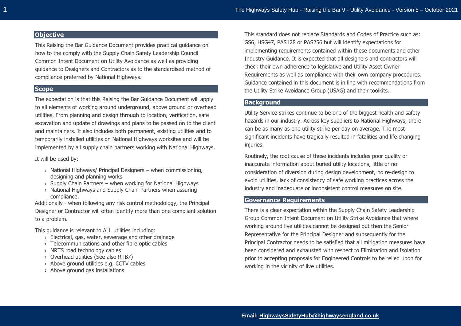## **Objective**

This Raising the Bar Guidance Document provides practical guidance on how to the comply with the Supply Chain Safety Leadership Council Common Intent Document on Utility Avoidance as well as providing guidance to Designers and Contractors as to the standardised method of compliance preferred by National Highways.

## **Scope**

The expectation is that this Raising the Bar Guidance Document will apply to all elements of working around underground, above ground or overhead utilities. From planning and design through to location, verification, safe excavation and update of drawings and plans to be passed on to the client and maintainers. It also includes both permanent, existing utilities and to temporarily installed utilities on National Highways worksites and will be implemented by all supply chain partners working with National Highways.

It will be used by:

- $\rightarrow$  National Highways/ Principal Designers when commissioning, designing and planning works
- $\rightarrow$  Supply Chain Partners when working for National Highways
- › National Highways and Supply Chain Partners when assuring compliance.

Additionally - when following any risk control methodology, the Principal Designer or Contractor will often identify more than one compliant solution to a problem.

This guidance is relevant to ALL utilities including:

- › Electrical, gas, water, sewerage and other drainage
- › Telecommunications and other fibre optic cables
- › NRTS road technology cables
- › Overhead utilities (See also RTB7)
- › Above ground utilities e.g. CCTV cables
- › Above ground gas installations

This standard does not replace Standards and Codes of Practice such as: GS6, HSG47, PAS128 or PAS256 but will identify expectations for implementing requirements contained within these documents and other Industry Guidance. It is expected that all designers and contractors will check their own adherence to legislative and Utility Asset Owner Requirements as well as compliance with their own company procedures. Guidance contained in this document is in line with recommendations from the Utility Strike Avoidance Group (USAG) and their toolkits.

## **Background**

Utility Service strikes continue to be one of the biggest health and safety hazards in our industry. Across key suppliers to National Highways, there can be as many as one utility strike per day on average. The most significant incidents have tragically resulted in fatalities and life changing injuries.

Routinely, the root cause of these incidents includes poor quality or inaccurate information about buried utility locations, little or no consideration of diversion during design development, no re-design to avoid utilities, lack of consistency of safe working practices across the industry and inadequate or inconsistent control measures on site.

#### **Governance Requirements**

There is a clear expectation within the Supply Chain Safety Leadership Group Common Intent Document on Utility Strike Avoidance that where working around live utilities cannot be designed out then the Senior Representative for the Principal Designer and subsequently for the Principal Contractor needs to be satisfied that all mitigation measures have been considered and exhausted with respect to Elimination and Isolation prior to accepting proposals for Engineered Controls to be relied upon for working in the vicinity of live utilities.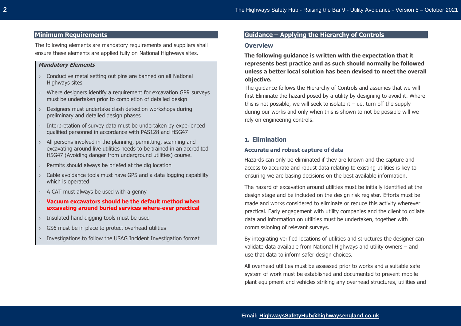## **Minimum Requirements**

The following elements are mandatory requirements and suppliers shall ensure these elements are applied fully on National Highways sites.

#### **Mandatory Elements**

- › Conductive metal setting out pins are banned on all National Highways sites
- › Where designers identify a requirement for excavation GPR surveys must be undertaken prior to completion of detailed design
- Designers must undertake clash detection workshops during preliminary and detailed design phases
- Interpretation of survey data must be undertaken by experienced qualified personnel in accordance with PAS128 and HSG47
- › All persons involved in the planning, permitting, scanning and excavating around live utilities needs to be trained in an accredited HSG47 (Avoiding danger from underground utilities) course.
- Permits should always be briefed at the dig location
- Cable avoidance tools must have GPS and a data logging capability which is operated
- $\rightarrow$  A CAT must always be used with a genny
- › **Vacuum excavators should be the default method when excavating around buried services where-ever practical**
- Insulated hand digging tools must be used
- GS6 must be in place to protect overhead utilities
- › Investigations to follow the USAG Incident Investigation format

# **Guidance – Applying the Hierarchy of Controls**

#### **Overview**

**The following guidance is written with the expectation that it represents best practice and as such should normally be followed unless a better local solution has been devised to meet the overall objective.** 

The guidance follows the Hierarchy of Controls and assumes that we will first Eliminate the hazard posed by a utility by designing to avoid it. Where this is not possible, we will seek to isolate it  $-$  i.e. turn off the supply during our works and only when this is shown to not be possible will we rely on engineering controls.

## **1. Elimination**

#### **Accurate and robust capture of data**

Hazards can only be eliminated if they are known and the capture and access to accurate and robust data relating to existing utilities is key to ensuring we are basing decisions on the best available information.

The hazard of excavation around utilities must be initially identified at the design stage and be included on the design risk register. Efforts must be made and works considered to eliminate or reduce this activity wherever practical. Early engagement with utility companies and the client to collate data and information on utilities must be undertaken, together with commissioning of relevant surveys.

By integrating verified locations of utilities and structures the designer can validate data available from National Highways and utility owners – and use that data to inform safer design choices.

All overhead utilities must be assessed prior to works and a suitable safe system of work must be established and documented to prevent mobile plant equipment and vehicles striking any overhead structures, utilities and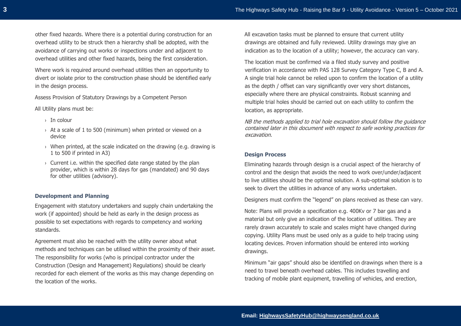other fixed hazards. Where there is a potential during construction for an overhead utility to be struck then a hierarchy shall be adopted, with the avoidance of carrying out works or inspections under and adjacent to overhead utilities and other fixed hazards, being the first consideration.

Where work is required around overhead utilities then an opportunity to divert or isolate prior to the construction phase should be identified early in the design process.

Assess Provision of Statutory Drawings by a Competent Person

All Utility plans must be:

- $\rightarrow$  In colour
- › At a scale of 1 to 500 (minimum) when printed or viewed on a device
- › When printed, at the scale indicated on the drawing (e.g. drawing is 1 to 500 if printed in A3)
- $\rightarrow$  Current i.e. within the specified date range stated by the plan provider, which is within 28 days for gas (mandated) and 90 days for other utilities (advisory).

## **Development and Planning**

Engagement with statutory undertakers and supply chain undertaking the work (if appointed) should be held as early in the design process as possible to set expectations with regards to competency and working standards.

Agreement must also be reached with the utility owner about what methods and techniques can be utilised within the proximity of their asset. The responsibility for works (who is principal contractor under the Construction (Design and Management) Regulations) should be clearly recorded for each element of the works as this may change depending on the location of the works.

All excavation tasks must be planned to ensure that current utility drawings are obtained and fully reviewed. Utility drawings may give an indication as to the location of a utility; however, the accuracy can vary.

The location must be confirmed via a filed study survey and positive verification in accordance with PAS 128 Survey Category Type C, B and A. A single trial hole cannot be relied upon to confirm the location of a utility as the depth / offset can vary significantly over very short distances, especially where there are physical constraints. Robust scanning and multiple trial holes should be carried out on each utility to confirm the location, as appropriate.

NB the methods applied to trial hole excavation should follow the guidance contained later in this document with respect to safe working practices for excavation.

#### **Design Process**

Eliminating hazards through design is a crucial aspect of the hierarchy of control and the design that avoids the need to work over/under/adjacent to live utilities should be the optimal solution. A sub-optimal solution is to seek to divert the utilities in advance of any works undertaken.

Designers must confirm the "legend" on plans received as these can vary.

Note: Plans will provide a specification e.g. 400Kv or 7 bar gas and a material but only give an indication of the location of utilities. They are rarely drawn accurately to scale and scales might have changed during copying. Utility Plans must be used only as a guide to help tracing using locating devices. Proven information should be entered into working drawings.

Minimum "air gaps" should also be identified on drawings when there is a need to travel beneath overhead cables. This includes travelling and tracking of mobile plant equipment, travelling of vehicles, and erection,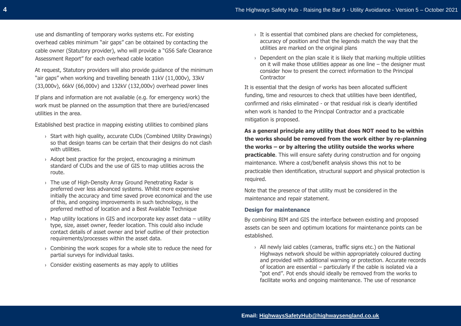use and dismantling of temporary works systems etc. For existing overhead cables minimum "air gaps" can be obtained by contacting the cable owner (Statutory provider), who will provide a "GS6 Safe Clearance Assessment Report" for each overhead cable location

At request, Statutory providers will also provide guidance of the minimum "air gaps" when working and travelling beneath 11kV (11,000v), 33kV (33,000v), 66kV (66,000v) and 132kV (132,000v) overhead power lines

If plans and information are not available (e.g. for emergency work) the work must be planned on the assumption that there are buried/encased utilities in the area.

Established best practice in mapping existing utilities to combined plans

- › Start with high quality, accurate CUDs (Combined Utility Drawings) so that design teams can be certain that their designs do not clash with utilities.
- $\rightarrow$  Adopt best practice for the project, encouraging a minimum standard of CUDs and the use of GIS to map utilities across the route.
- › The use of High-Density Array Ground Penetrating Radar is preferred over less advanced systems. Whilst more expensive initially the accuracy and time saved prove economical and the use of this, and ongoing improvements in such technology, is the preferred method of location and a Best Available Technique
- $\rightarrow$  Map utility locations in GIS and incorporate key asset data utility type, size, asset owner, feeder location. This could also include contact details of asset owner and brief outline of their protection requirements/processes within the asset data.
- $\rightarrow$  Combining the work scopes for a whole site to reduce the need for partial surveys for individual tasks.
- › Consider existing easements as may apply to utilities
- $\rightarrow$  It is essential that combined plans are checked for completeness, accuracy of position and that the legends match the way that the utilities are marked on the original plans
- $\rightarrow$  Dependent on the plan scale it is likely that marking multiple utilities on it will make those utilities appear as one line – the designer must consider how to present the correct information to the Principal **Contractor**

It is essential that the design of works has been allocated sufficient funding, time and resources to check that utilities have been identified, confirmed and risks eliminated - or that residual risk is clearly identified when work is handed to the Principal Contractor and a practicable mitigation is proposed.

**As a general principle any utility that does NOT need to be within the works should be removed from the work either by re-planning the works – or by altering the utility outside the works where practicable**. This will ensure safety during construction and for ongoing maintenance. Where a cost/benefit analysis shows this not to be practicable then identification, structural support and physical protection is required.

Note that the presence of that utility must be considered in the maintenance and repair statement.

#### **Design for maintenance**

By combining BIM and GIS the interface between existing and proposed assets can be seen and optimum locations for maintenance points can be established.

› All newly laid cables (cameras, traffic signs etc.) on the National Highways network should be within appropriately coloured ducting and provided with additional warning or protection. Accurate records of location are essential – particularly if the cable is isolated via a "pot end". Pot ends should ideally be removed from the works to facilitate works and ongoing maintenance. The use of resonance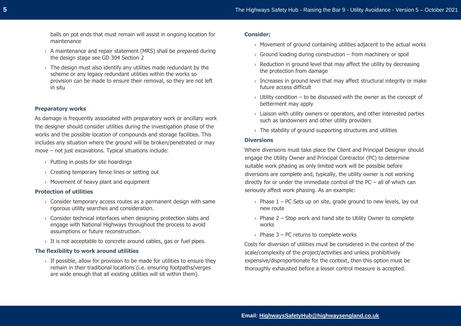balls on pot ends that must remain will assist in ongoing location for maintenance

- $\rightarrow$  A maintenance and repair statement (MRS) shall be prepared during the design stage see GD 304 Section 2
- $\rightarrow$  The design must also identify any utilities made redundant by the scheme or any legacy redundant utilities within the works so provision can be made to ensure their removal, so they are not left in situ

#### **Preparatory works**

As damage is frequently associated with preparatory work or ancillary work the designer should consider utilities during the investigation phase of the works and the possible location of compounds and storage facilities. This includes any situation where the ground will be broken/penetrated or may move – not just excavations. Typical situations include:

- › Putting in posts for site hoardings
- › Creating temporary fence lines or setting out
- › Movement of heavy plant and equipment

#### **Protection of utilities**

- $\rightarrow$  Consider temporary access routes as a permanent design with same rigorous utility searches and consideration.
- $\rightarrow$  Consider technical interfaces when designing protection slabs and engage with National Highways throughout the process to avoid assumptions or future reconstruction.
- › It is not acceptable to concrete around cables, gas or fuel pipes.

#### **The flexibility to work around utilities**

 $\rightarrow$  If possible, allow for provision to be made for utilities to ensure they remain in their traditional locations (i.e. ensuring footpaths/verges are wide enough that all existing utilities will sit within them).

#### **Consider;**

- $\rightarrow$  Movement of ground containing utilities adjacent to the actual works
- $\rightarrow$  Ground loading during construction from machinery or spoil
- $\rightarrow$  Reduction in ground level that may affect the utility by decreasing the protection from damage
- $\rightarrow$  Increases in ground level that may affect structural integrity or make future access difficult
- $\rightarrow$  Utility condition to be discussed with the owner as the concept of betterment may apply
- $\rightarrow$  Liaison with utility owners or operators, and other interested parties such as landowners and other utility providers
- $\rightarrow$  The stability of ground supporting structures and utilities

#### **Diversions**

Where diversions must take place the Client and Principal Designer should engage the Utility Owner and Principal Contractor (PC) to determine suitable work phasing as only limited work will be possible before diversions are complete and, typically, the utility owner is not working directly for or under the immediate control of the PC – all of which can seriously affect work phasing. As an example:

- $\rightarrow$  Phase 1 PC Sets up on site, grade ground to new levels, lay out new route
- $\rightarrow$  Phase 2 Stop work and hand site to Utility Owner to complete works
- $\rightarrow$  Phase 3 PC returns to complete works

Costs for diversion of utilities must be considered in the context of the scale/complexity of the project/activities and unless prohibitively expensive/disproportionate for the context, then this option must be thoroughly exhausted before a lesser control measure is accepted.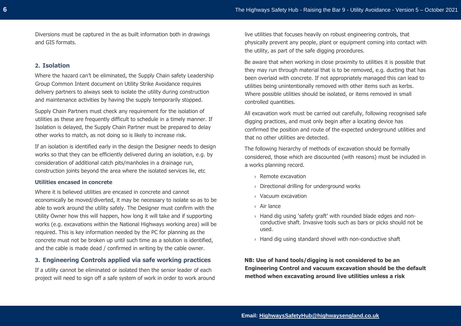Diversions must be captured in the as built information both in drawings and GIS formats.

## **2. Isolation**

Where the hazard can't be eliminated, the Supply Chain safety Leadership Group Common Intent document on Utility Strike Avoidance requires delivery partners to always seek to isolate the utility during construction and maintenance activities by having the supply temporarily stopped.

Supply Chain Partners must check any requirement for the isolation of utilities as these are frequently difficult to schedule in a timely manner. If Isolation is delayed, the Supply Chain Partner must be prepared to delay other works to match, as not doing so is likely to increase risk.

If an isolation is identified early in the design the Designer needs to design works so that they can be efficiently delivered during an isolation, e.g. by consideration of additional catch pits/manholes in a drainage run, construction joints beyond the area where the isolated services lie, etc

#### **Utilities encased in concrete**

Where it is believed utilities are encased in concrete and cannot economically be moved/diverted, it may be necessary to isolate so as to be able to work around the utility safely. The Designer must confirm with the Utility Owner how this will happen, how long it will take and if supporting works (e.g. excavations within the National Highways working area) will be required. This is key information needed by the PC for planning as the concrete must not be broken up until such time as a solution is identified, and the cable is made dead / confirmed in writing by the cable owner.

## **3. Engineering Controls applied via safe working practices**

If a utility cannot be eliminated or isolated then the senior leader of each project will need to sign off a safe system of work in order to work around live utilities that focuses heavily on robust engineering controls, that physically prevent any people, plant or equipment coming into contact with the utility, as part of the safe digging procedures.

Be aware that when working in close proximity to utilities it is possible that they may run through material that is to be removed, e.g. ducting that has been overlaid with concrete. If not appropriately managed this can lead to utilities being unintentionally removed with other items such as kerbs. Where possible utilities should be isolated, or items removed in small controlled quantities.

All excavation work must be carried out carefully, following recognised safe digging practices, and must only begin after a locating device has confirmed the position and route of the expected underground utilities and that no other utilities are detected.

The following hierarchy of methods of excavation should be formally considered, those which are discounted (with reasons) must be included in a works planning record.

- › Remote excavation
- › Directional drilling for underground works
- › Vacuum excavation
- › Air lance
- › Hand dig using 'safety graft' with rounded blade edges and nonconductive shaft. Invasive tools such as bars or picks should not be used.
- $\rightarrow$  Hand dig using standard shovel with non-conductive shaft

**NB: Use of hand tools/digging is not considered to be an Engineering Control and vacuum excavation should be the default method when excavating around live utilities unless a risk**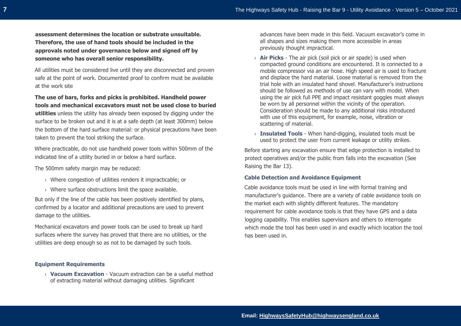**assessment determines the location or substrate unsuitable. Therefore, the use of hand tools should be included in the approvals noted under governance below and signed off by someone who has overall senior responsibility.** 

All utilities must be considered live until they are disconnected and proven safe at the point of work. Documented proof to confirm must be available at the work site

**The use of bars, forks and picks is prohibited. Handheld power tools and mechanical excavators must not be used close to buried utilities** unless the utility has already been exposed by digging under the surface to be broken out and it is at a safe depth (at least 300mm) below the bottom of the hard surface material: or physical precautions have been taken to prevent the tool striking the surface.

Where practicable, do not use handheld power tools within 500mm of the indicated line of a utility buried in or below a hard surface.

The 500mm safety margin may be reduced:

- › Where congestion of utilities renders it impracticable; or
- › Where surface obstructions limit the space available.

But only if the line of the cable has been positively identified by plans, confirmed by a locator and additional precautions are used to prevent damage to the utilities.

Mechanical excavators and power tools can be used to break up hard surfaces where the survey has proved that there are no utilities, or the utilities are deep enough so as not to be damaged by such tools.

#### **Equipment Requirements**

› **Vacuum Excavation** - Vacuum extraction can be a useful method of extracting material without damaging utilities. Significant

advances have been made in this field. Vacuum excavator's come in all shapes and sizes making them more accessible in areas previously thought impractical.

- › **Air Picks** The air pick (soil pick or air spade) is used when compacted ground conditions are encountered. It is connected to a mobile compressor via an air hose. High speed air is used to fracture and displace the hard material. Loose material is removed from the trial hole with an insulated hand shovel. Manufacturer's instructions should be followed as methods of use can vary with model. When using the air pick full PPE and impact resistant goggles must always be worn by all personnel within the vicinity of the operation. Consideration should be made to any additional risks introduced with use of this equipment, for example, noise, vibration or scattering of material.
- › **Insulated Tools** When hand-digging, insulated tools must be used to protect the user from current leakage or utility strikes.

Before starting any excavation ensure that edge protection is installed to protect operatives and/or the public from falls into the excavation (See Raising the Bar 13).

#### **Cable Detection and Avoidance Equipment**

Cable avoidance tools must be used in line with formal training and manufacturer's guidance. There are a variety of cable avoidance tools on the market each with slightly different features. The mandatory requirement for cable avoidance tools is that they have GPS and a data logging capability. This enables supervisors and others to interrogate which mode the tool has been used in and exactly which location the tool has been used in.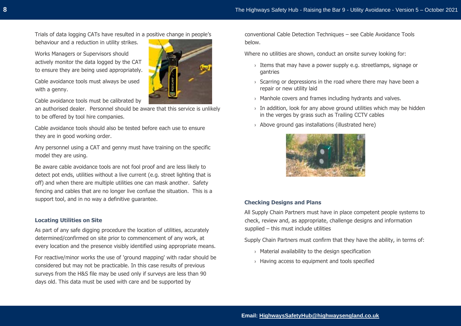Trials of data logging CATs have resulted in a positive change in people's

behaviour and a reduction in utility strikes.

Works Managers or Supervisors should actively monitor the data logged by the CAT to ensure they are being used appropriately.

Cable avoidance tools must always be used with a genny.

Cable avoidance tools must be calibrated by

an authorised dealer. Personnel should be aware that this service is unlikely to be offered by tool hire companies.

Cable avoidance tools should also be tested before each use to ensure they are in good working order.

Any personnel using a CAT and genny must have training on the specific model they are using.

Be aware cable avoidance tools are not fool proof and are less likely to detect pot ends, utilities without a live current (e.g. street lighting that is off) and when there are multiple utilities one can mask another. Safety fencing and cables that are no longer live confuse the situation. This is a support tool, and in no way a definitive guarantee.

## **Locating Utilities on Site**

As part of any safe digging procedure the location of utilities, accurately determined/confirmed on site prior to commencement of any work, at every location and the presence visibly identified using appropriate means.

For reactive/minor works the use of 'ground mapping' with radar should be considered but may not be practicable. In this case results of previous surveys from the H&S file may be used only if surveys are less than 90 days old. This data must be used with care and be supported by

conventional Cable Detection Techniques – see Cable Avoidance Tools below.

Where no utilities are shown, conduct an onsite survey looking for:

- $\rightarrow$  Items that may have a power supply e.g. streetlamps, signage or gantries
- $\rightarrow$  Scarring or depressions in the road where there may have been a repair or new utility laid
- › Manhole covers and frames including hydrants and valves.
- $\rightarrow$  In addition, look for any above ground utilities which may be hidden in the verges by grass such as Trailing CCTV cables
- › Above ground gas installations (illustrated here)



## **Checking Designs and Plans**

All Supply Chain Partners must have in place competent people systems to check, review and, as appropriate, challenge designs and information supplied – this must include utilities

Supply Chain Partners must confirm that they have the ability, in terms of:

- $\rightarrow$  Material availability to the design specification
- › Having access to equipment and tools specified



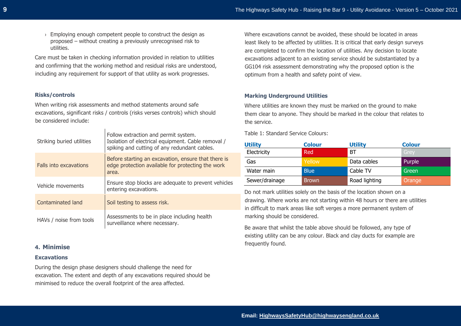› Employing enough competent people to construct the design as proposed – without creating a previously unrecognised risk to utilities.

Care must be taken in checking information provided in relation to utilities and confirming that the working method and residual risks are understood, including any requirement for support of that utility as work progresses.

## **Risks/controls**

When writing risk assessments and method statements around safe excavations, significant risks / controls (risks verses controls) which should be considered include:

 $\mathbf{L}$ 

| Striking buried utilities | Follow extraction and permit system.<br>Isolation of electrical equipment. Cable removal /<br>spiking and cutting of any redundant cables. |
|---------------------------|--------------------------------------------------------------------------------------------------------------------------------------------|
| Falls into excavations    | Before starting an excavation, ensure that there is<br>edge protection available for protecting the work<br>area.                          |
| Vehicle movements         | Ensure stop blocks are adequate to prevent vehicles<br>entering excavations.                                                               |
| Contaminated land         | Soil testing to assess risk.                                                                                                               |
| HAVs / noise from tools   | Assessments to be in place including health<br>surveillance where necessary.                                                               |

## **4. Minimise**

#### **Excavations**

During the design phase designers should challenge the need for excavation. The extent and depth of any excavations required should be minimised to reduce the overall footprint of the area affected.

Where excavations cannot be avoided, these should be located in areas least likely to be affected by utilities. It is critical that early design surveys are completed to confirm the location of utilities. Any decision to locate excavations adjacent to an existing service should be substantiated by a GG104 risk assessment demonstrating why the proposed option is the optimum from a health and safety point of view.

## **Marking Underground Utilities**

Where utilities are known they must be marked on the ground to make them clear to anyone. They should be marked in the colour that relates to the service.

Table 1: Standard Service Colours:

| <b>Utility</b> | <b>Colour</b> | <b>Utility</b> | <b>Colour</b> |
|----------------|---------------|----------------|---------------|
| Electricity    | Red           | BT             | Grey          |
| Gas            | Yellow        | Data cables    | Purple        |
| Water main     | <b>Blue</b>   | Cable TV       | Green         |
| Sewer/drainage | <b>Brown</b>  | Road lighting  | Orange        |

Do not mark utilities solely on the basis of the location shown on a drawing. Where works are not starting within 48 hours or there are utilities in difficult to mark areas like soft verges a more permanent system of marking should be considered.

Be aware that whilst the table above should be followed, any type of existing utility can be any colour. Black and clay ducts for example are frequently found.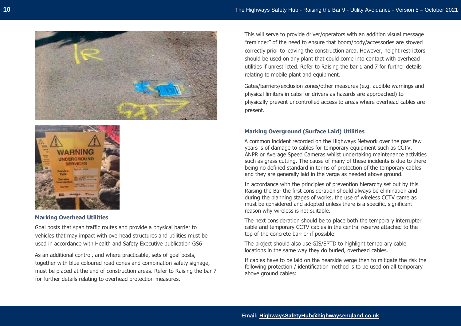



## **Marking Overhead Utilities**

Goal posts that span traffic routes and provide a physical barrier to vehicles that may impact with overhead structures and utilities must be used in accordance with Health and Safety Executive publication GS6

As an additional control, and where practicable, sets of goal posts, together with blue coloured road cones and combination safety signage, must be placed at the end of construction areas. Refer to Raising the bar 7 for further details relating to overhead protection measures.

This will serve to provide driver/operators with an addition visual message "reminder" of the need to ensure that boom/body/accessories are stowed correctly prior to leaving the construction area. However, height restrictors should be used on any plant that could come into contact with overhead utilities if unrestricted. Refer to Raising the bar 1 and 7 for further details relating to mobile plant and equipment.

Gates/barriers/exclusion zones/other measures (e.g. audible warnings and physical limiters in cabs for drivers as hazards are approached) to physically prevent uncontrolled access to areas where overhead cables are present.

#### **Marking Overground (Surface Laid) Utilities**

A common incident recorded on the Highways Network over the past few years is of damage to cables for temporary equipment such as CCTV, ANPR or Average Speed Cameras whilst undertaking maintenance activities such as grass cutting. The cause of many of these incidents is due to there being no defined standard in terms of protection of the temporary cables and they are generally laid in the verge as needed above ground.

In accordance with the principles of prevention hierarchy set out by this Raising the Bar the first consideration should always be elimination and during the planning stages of works, the use of wireless CCTV cameras must be considered and adopted unless there is a specific, significant reason why wireless is not suitable.

The next consideration should be to place both the temporary interrupter cable and temporary CCTV cables in the central reserve attached to the top of the concrete barrier if possible.

The project should also use GIS/SPTD to highlight temporary cable locations in the same way they do buried, overhead cables.

If cables have to be laid on the nearside verge then to mitigate the risk the following protection / identification method is to be used on all temporary above ground cables: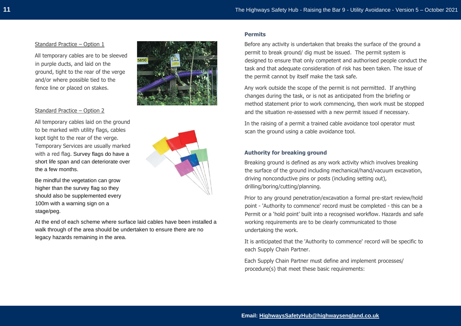#### Standard Practice – Option 1

All temporary cables are to be sleeved in purple ducts, and laid on the ground, tight to the rear of the verge and/or where possible tied to the fence line or placed on stakes.

#### Standard Practice – Option 2

All temporary cables laid on the ground to be marked with utility flags, cables kept tight to the rear of the verge. Temporary Services are usually marked with a red flag. Survey flags do have a short life span and can deteriorate over the a few months.



Be mindful the vegetation can grow higher than the survey flag so they should also be supplemented every 100m with a warning sign on a stage/peg.

At the end of each scheme where surface laid cables have been installed a walk through of the area should be undertaken to ensure there are no legacy hazards remaining in the area.

#### **Permits**

Before any activity is undertaken that breaks the surface of the ground a permit to break ground/ dig must be issued. The permit system is designed to ensure that only competent and authorised people conduct the task and that adequate consideration of risk has been taken. The issue of the permit cannot by itself make the task safe.

Any work outside the scope of the permit is not permitted. If anything changes during the task, or is not as anticipated from the briefing or method statement prior to work commencing, then work must be stopped and the situation re-assessed with a new permit issued if necessary.

In the raising of a permit a trained cable avoidance tool operator must scan the ground using a cable avoidance tool.

## **Authority for breaking ground**

Breaking ground is defined as any work activity which involves breaking the surface of the ground including mechanical/hand/vacuum excavation, driving nonconductive pins or posts (including setting out), drilling/boring/cutting/planning.

Prior to any ground penetration/excavation a formal pre-start review/hold point - 'Authority to commence' record must be completed - this can be a Permit or a 'hold point' built into a recognised workflow. Hazards and safe working requirements are to be clearly communicated to those undertaking the work.

It is anticipated that the 'Authority to commence' record will be specific to each Supply Chain Partner.

Each Supply Chain Partner must define and implement processes/ procedure(s) that meet these basic requirements: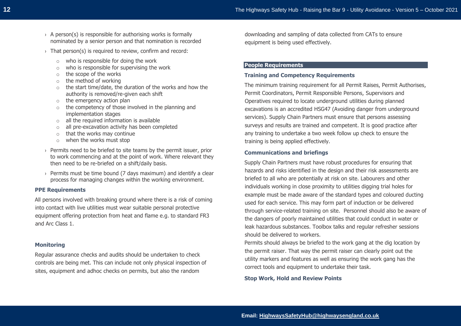- $\rightarrow$  A person(s) is responsible for authorising works is formally nominated by a senior person and that nomination is recorded
- $\rightarrow$  That person(s) is required to review, confirm and record:
	- o who is responsible for doing the work
	- $\circ$  who is responsible for supervising the work
	- o the scope of the works
	- o the method of working
	- o the start time/date, the duration of the works and how the authority is removed/re-given each shift
	- o the emergency action plan
	- $\circ$  the competency of those involved in the planning and implementation stages
	- $\circ$  all the required information is available
	- o all pre-excavation activity has been completed
	- $\circ$  that the works may continue
	- o when the works must stop
- $\rightarrow$  Permits need to be briefed to site teams by the permit issuer, prior to work commencing and at the point of work. Where relevant they then need to be re-briefed on a shift/daily basis.
- $\rightarrow$  Permits must be time bound (7 days maximum) and identify a clear process for managing changes within the working environment.

## **PPE Requirements**

All persons involved with breaking ground where there is a risk of coming into contact with live utilities must wear suitable personal protective equipment offering protection from heat and flame e.g. to standard FR3 and Arc Class 1.

#### **Monitoring**

Regular assurance checks and audits should be undertaken to check controls are being met. This can include not only physical inspection of sites, equipment and adhoc checks on permits, but also the random

downloading and sampling of data collected from CATs to ensure equipment is being used effectively.

## **People Requirements**

#### **Training and Competency Requirements**

The minimum training requirement for all Permit Raises, Permit Authorises, Permit Coordinators, Permit Responsible Persons, Supervisors and Operatives required to locate underground utilities during planned excavations is an accredited HSG47 (Avoiding danger from underground services). Supply Chain Partners must ensure that persons assessing surveys and results are trained and competent. It is good practice after any training to undertake a two week follow up check to ensure the training is being applied effectively.

#### **Communications and briefings**

Supply Chain Partners must have robust procedures for ensuring that hazards and risks identified in the design and their risk assessments are briefed to all who are potentially at risk on site. Labourers and other individuals working in close proximity to utilities digging trial holes for example must be made aware of the standard types and coloured ducting used for each service. This may form part of induction or be delivered through service-related training on site. Personnel should also be aware of the dangers of poorly maintained utilities that could conduct in water or leak hazardous substances. Toolbox talks and regular refresher sessions should be delivered to workers.

Permits should always be briefed to the work gang at the dig location by the permit raiser. That way the permit raiser can clearly point out the utility markers and features as well as ensuring the work gang has the correct tools and equipment to undertake their task.

**Stop Work, Hold and Review Points**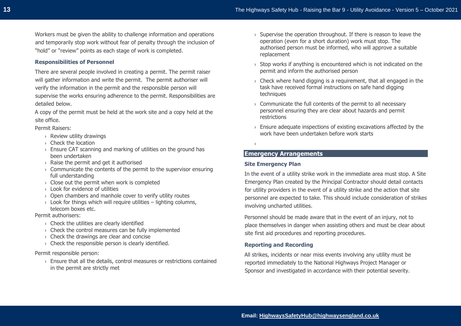Workers must be given the ability to challenge information and operations and temporarily stop work without fear of penalty through the inclusion of "hold" or "review" points as each stage of work is completed.

#### **Responsibilities of Personnel**

There are several people involved in creating a permit. The permit raiser will gather information and write the permit. The permit authoriser will verify the information in the permit and the responsible person will supervise the works ensuring adherence to the permit. Responsibilities are detailed below.

A copy of the permit must be held at the work site and a copy held at the site office.

Permit Raisers:

- › Review utility drawings
- › Check the location
- $\rightarrow$  Ensure CAT scanning and marking of utilities on the ground has been undertaken
- $\rightarrow$  Raise the permit and get it authorised
- $\rightarrow$  Communicate the contents of the permit to the supervisor ensuring full understanding
- $\rightarrow$  Close out the permit when work is completed
- › Look for evidence of utilities
- › Open chambers and manhole cover to verify utility routes
- $\rightarrow$  Look for things which will require utilities lighting columns, telecom boxes etc.

Permit authorisers:

- $\rightarrow$  Check the utilities are clearly identified
- › Check the control measures can be fully implemented
- $\rightarrow$  Check the drawings are clear and concise
- $\rightarrow$  Check the responsible person is clearly identified.

#### Permit responsible person:

› Ensure that all the details, control measures or restrictions contained in the permit are strictly met

- $\rightarrow$  Supervise the operation throughout. If there is reason to leave the operation (even for a short duration) work must stop. The authorised person must be informed, who will approve a suitable replacement
- $\rightarrow$  Stop works if anything is encountered which is not indicated on the permit and inform the authorised person
- $\rightarrow$  Check where hand digging is a requirement, that all engaged in the task have received formal instructions on safe hand digging techniques
- › Communicate the full contents of the permit to all necessary personnel ensuring they are clear about hazards and permit restrictions
- $\rightarrow$  Ensure adequate inspections of existing excavations affected by the work have been undertaken before work starts

›

# **Emergency Arrangements**

#### **Site Emergency Plan**

In the event of a utility strike work in the immediate area must stop. A Site Emergency Plan created by the Principal Contractor should detail contacts for utility providers in the event of a utility strike and the action that site personnel are expected to take. This should include consideration of strikes involving uncharted utilities.

Personnel should be made aware that in the event of an injury, not to place themselves in danger when assisting others and must be clear about site first aid procedures and reporting procedures.

#### **Reporting and Recording**

All strikes, incidents or near miss events involving any utility must be reported immediately to the National Highways Project Manager or Sponsor and investigated in accordance with their potential severity.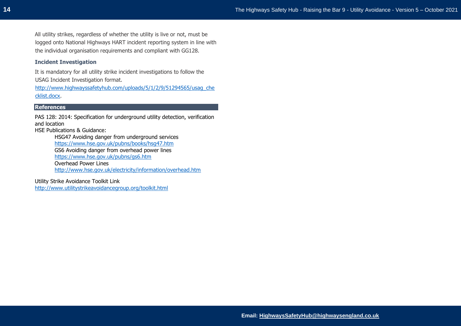All utility strikes, regardless of whether the utility is live or not, must be logged onto National Highways HART incident reporting system in line with the individual organisation requirements and compliant with GG128.

## **Incident Investigation**

It is mandatory for all utility strike incident investigations to follow the USAG Incident Investigation format.

[http://www.highwayssafetyhub.com/uploads/5/1/2/9/51294565/usag\\_che](http://www.highwayssafetyhub.com/uploads/5/1/2/9/51294565/usag_checklist.docx) [cklist.docx.](http://www.highwayssafetyhub.com/uploads/5/1/2/9/51294565/usag_checklist.docx)

#### **References**

PAS 128: 2014: Specification for underground utility detection, verification and location

HSE Publications & Guidance:

HSG47 Avoiding danger from underground services <https://www.hse.gov.uk/pubns/books/hsg47.htm> GS6 Avoiding danger from overhead power lines <https://www.hse.gov.uk/pubns/gs6.htm> Overhead Power Lines <http://www.hse.gov.uk/electricity/information/overhead.htm>

Utility Strike Avoidance Toolkit Link <http://www.utilitystrikeavoidancegroup.org/toolkit.html>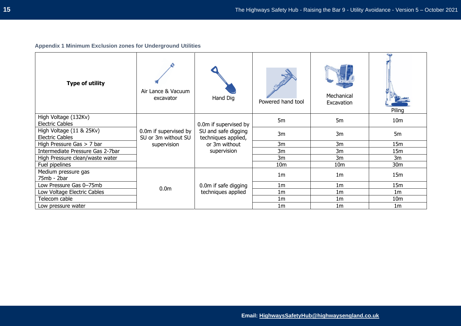# **Appendix 1 Minimum Exclusion zones for Underground Utilities**

| <b>Type of utility</b>                             | Air Lance & Vacuum<br>excavator              | Hand Dig                                   | Powered hand tool | Mechanical<br>Excavation | Piling          |
|----------------------------------------------------|----------------------------------------------|--------------------------------------------|-------------------|--------------------------|-----------------|
| High Voltage (132Kv)<br><b>Electric Cables</b>     |                                              | 0.0m if supervised by                      | 5m                | 5 <sub>m</sub>           | 10 <sub>m</sub> |
| High Voltage (11 & 25Kv)<br><b>Electric Cables</b> | 0.0m if supervised by<br>SU or 3m without SU | SU and safe digging<br>techniques applied, | 3m                | 3m                       | 5 <sub>m</sub>  |
| High Pressure Gas $> 7$ bar                        | supervision                                  | or 3m without                              | 3m                | 3m                       | 15m             |
| Intermediate Pressure Gas 2-7bar                   |                                              | supervision                                | 3m                | 3m                       | 15m             |
| High Pressure clean/waste water                    |                                              |                                            | 3m                | 3m                       | 3m              |
| Fuel pipelines                                     |                                              |                                            | 10 <sub>m</sub>   | 10 <sub>m</sub>          | 30 <sub>m</sub> |
| Medium pressure gas<br>75mb - 2bar                 |                                              |                                            | 1 <sub>m</sub>    | 1 <sub>m</sub>           | 15m             |
| Low Pressure Gas 0-75mb                            | 0.0 <sub>m</sub>                             | 0.0m if safe digging                       | 1 <sub>m</sub>    | 1 <sub>m</sub>           | 15m             |
| Low Voltage Electric Cables                        |                                              | techniques applied                         | 1 <sub>m</sub>    | 1 <sub>m</sub>           | 1 <sub>m</sub>  |
| Telecom cable                                      |                                              |                                            | 1 <sub>m</sub>    | 1 <sub>m</sub>           | 10 <sub>m</sub> |
| Low pressure water                                 |                                              |                                            | 1 <sub>m</sub>    | 1 <sub>m</sub>           | 1 <sub>m</sub>  |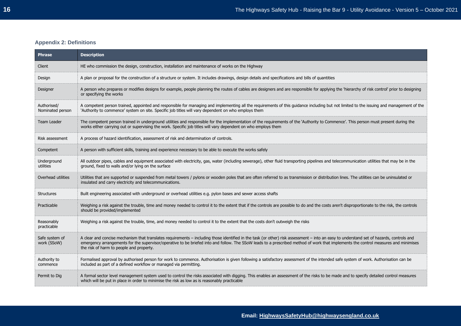# **Appendix 2: Definitions**

| <b>Phrase</b>                   | <b>Description</b>                                                                                                                                                                                                                                                                                                                                                                                                          |
|---------------------------------|-----------------------------------------------------------------------------------------------------------------------------------------------------------------------------------------------------------------------------------------------------------------------------------------------------------------------------------------------------------------------------------------------------------------------------|
| Client                          | HE who commission the design, construction, installation and maintenance of works on the Highway                                                                                                                                                                                                                                                                                                                            |
| Design                          | A plan or proposal for the construction of a structure or system. It includes drawings, design details and specifications and bills of quantities                                                                                                                                                                                                                                                                           |
| Designer                        | A person who prepares or modifies designs for example, people planning the routes of cables are designers and are responsible for applying the 'hierarchy of risk control' prior to designing<br>or specifying the works                                                                                                                                                                                                    |
| Authorised/<br>Nominated person | A competent person trained, appointed and responsible for managing and implementing all the requirements of this guidance including but not limited to the issuing and management of the<br>'Authority to commence' system on site. Specific job titles will vary dependent on who employs them                                                                                                                             |
| <b>Team Leader</b>              | The competent person trained in underground utilities and responsible for the implementation of the requirements of the 'Authority to Commence'. This person must present during the<br>works either carrying out or supervising the work. Specific job titles will vary dependent on who employs them                                                                                                                      |
| Risk assessment                 | A process of hazard identification, assessment of risk and determination of controls.                                                                                                                                                                                                                                                                                                                                       |
| Competent                       | A person with sufficient skills, training and experience necessary to be able to execute the works safely                                                                                                                                                                                                                                                                                                                   |
| Underground<br>utilities        | All outdoor pipes, cables and equipment associated with electricity, gas, water (including sewerage), other fluid transporting pipelines and telecommunication utilities that may be in the<br>ground, fixed to walls and/or lying on the surface                                                                                                                                                                           |
| Overhead utilities              | Utilities that are supported or suspended from metal towers / pylons or wooden poles that are often referred to as transmission or distribution lines. The utilities can be uninsulated or<br>insulated and carry electricity and telecommunications.                                                                                                                                                                       |
| <b>Structures</b>               | Built engineering associated with underground or overhead utilities e.g. pylon bases and sewer access shafts                                                                                                                                                                                                                                                                                                                |
| Practicable                     | Weighing a risk against the trouble, time and money needed to control it to the extent that if the controls are possible to do and the costs aren't disproportionate to the risk, the controls<br>should be provided/implemented                                                                                                                                                                                            |
| Reasonably<br>practicable       | Weighing a risk against the trouble, time, and money needed to control it to the extent that the costs don't outweigh the risks                                                                                                                                                                                                                                                                                             |
| Safe system of<br>work (SSoW)   | A clear and concise mechanism that translates requirements - including those identified in the task (or other) risk assessment - into an easy to understand set of hazards, controls and<br>emergency arrangements for the supervisor/operative to be briefed into and follow. The SSoW leads to a prescribed method of work that implements the control measures and minimises<br>the risk of harm to people and property. |
| Authority to<br>commence        | Formalised approval by authorised person for work to commence. Authorisation is given following a satisfactory assessment of the intended safe system of work. Authorisation can be<br>included as part of a defined workflow or managed via permitting.                                                                                                                                                                    |
| Permit to Dig                   | A formal sector level management system used to control the risks associated with digging. This enables an assessment of the risks to be made and to specify detailed control measures<br>which will be put in place in order to minimise the risk as low as is reasonably practicable                                                                                                                                      |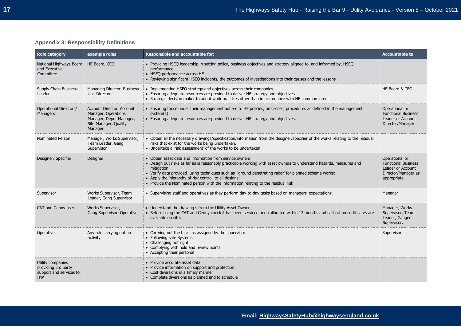# **Appendix 3: Responsibility Definitions**

| <b>Role category</b>                                                             | example roles                                                                                                   | <b>Responsible and accountable for:</b>                                                                                                                                                                                                                                                                                                                                                                                                               | <b>Accountable to</b>                                                                                   |
|----------------------------------------------------------------------------------|-----------------------------------------------------------------------------------------------------------------|-------------------------------------------------------------------------------------------------------------------------------------------------------------------------------------------------------------------------------------------------------------------------------------------------------------------------------------------------------------------------------------------------------------------------------------------------------|---------------------------------------------------------------------------------------------------------|
| National Highways Board<br>and Executive<br>Committee                            | HE Board, CEO                                                                                                   | • Providing HSEQ leadership in setting policy, business objectives and strategy aligned to, and informed by, HSEQ<br>performance<br>• HSEQ performance across HE<br>• Reviewing significant HSEQ incidents, the outcomes of investigations into their causes and the lessons                                                                                                                                                                          |                                                                                                         |
| Supply Chain Business<br>Leader                                                  | Managing Director, Business<br>Unit Director,                                                                   | • Implementing HSEQ strategy and objectives across their companies<br>• Ensuring adequate resources are provided to deliver HE strategy and objectives.<br>• Strategic decision maker to adopt work practices other than in accordance with HE common intent                                                                                                                                                                                          | HE Board & CEO                                                                                          |
| <b>Operational Directors/</b><br>Managers                                        | Account Director, Account<br>Manager, Operations<br>Manager, Depot Manager,<br>Site Manager, Quality<br>Manager | • Ensuring those under their management adhere to HE policies, processes, procedures as defined in the management<br>system(s)<br>• Ensuring adequate resources are provided to deliver HE strategy and objectives.                                                                                                                                                                                                                                   | Operational or<br><b>Functional Business</b><br>Leader or Account<br>Director/Manager                   |
| <b>Nominated Person</b>                                                          | Manager, Works Supervisor,<br>Team Leader, Gang<br>Supervisor                                                   | • Obtain all the necessary drawings/specification/information from the designer/specifier of the works relating to the residual<br>risks that exist for the works being undertaken.<br>• Undertake a 'risk assessment' of the works to be undertaken.                                                                                                                                                                                                 |                                                                                                         |
| Designer/ Specifier                                                              | Designer                                                                                                        | • Obtain asset data and information from service owners<br>• Design out risks as far as is reasonably practicable working with asset owners to understand hazards, measures and<br>mitigation<br>• Verify data provided using techniques such as 'ground penetrating radar' for planned scheme works;<br>• Apply the 'hierarchy of risk control' to all designs;<br>• Provide the Nominated person with the information relating to the residual risk | Operational or<br><b>Functional Business</b><br>Leader or Account<br>Director/Manager as<br>appropriate |
| Supervisor                                                                       | Works Supervisor, Team<br>Leader, Gang Supervisor                                                               | • Supervising staff and operatives as they perform day-to-day tasks based on managers' expectations.                                                                                                                                                                                                                                                                                                                                                  | Manager                                                                                                 |
| CAT and Genny user                                                               | Works Supervisor,<br>Gang Supervisor, Operative                                                                 | • Understand the drawing s from the Utility Asset Owner<br>• Before using the CAT and Genny check it has been serviced and calibrated within 12 months and calibration certificates are<br>available on site;                                                                                                                                                                                                                                         | Manager, Works<br>Supervisor, Team<br>Leader, Gangers<br>Supervisor,                                    |
| Operative                                                                        | Any role carrying out an<br>activity                                                                            | • Carrying out the tasks as assigned by the supervisor<br>• Following safe Systems<br>• Challenging not right<br>• Complying with hold and review points<br>• Accepting their personal                                                                                                                                                                                                                                                                | Supervisor                                                                                              |
| Utility companies<br>providing 3rd party<br>support and services to<br><b>HW</b> |                                                                                                                 | • Provide accurate asset data<br>• Provide information on support and protection<br>• Cost diversions in a timely manner<br>• Complete diversions as planned and to schedule                                                                                                                                                                                                                                                                          |                                                                                                         |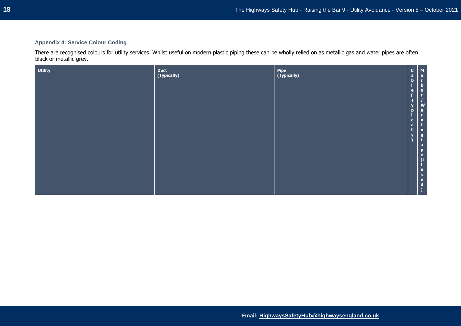## **Appendix 4: Service Colour Coding**

There are recognised colours for utility services. Whilst useful on modern plastic piping these can be wholly relied on as metallic gas and water pipes are often black or metallic grey.

| <b>Utility</b> | Duct<br>(Typically) | Pipe<br>(Typically) | $\begin{bmatrix} 1 \\ a \\ b \\ c \end{bmatrix}$ | $\begin{array}{c}\nM \\ a \\ r\n\end{array}$ |
|----------------|---------------------|---------------------|--------------------------------------------------|----------------------------------------------|
|                |                     |                     |                                                  |                                              |
|                |                     |                     | $\ddot{\textbf{e}}$                              | k<br>e<br>r                                  |
|                |                     |                     |                                                  |                                              |
|                |                     |                     | ÷.                                               |                                              |
|                |                     |                     |                                                  |                                              |
|                |                     |                     | $\frac{y}{p}$                                    | $\begin{bmatrix} w \\ a \\ r \end{bmatrix}$  |
|                |                     |                     |                                                  |                                              |
|                |                     |                     | $\mathbf{c}$                                     | $\mathbf{n}$                                 |
|                |                     |                     | $\frac{a}{\parallel}$                            |                                              |
|                |                     |                     | $\mathbf{v}$                                     |                                              |
|                |                     |                     |                                                  | $\begin{array}{c} n \\ g \\ t \end{array}$   |
|                |                     |                     |                                                  | $\overline{a}$                               |
|                |                     |                     |                                                  | D                                            |
|                |                     |                     |                                                  | $\bullet$                                    |
|                |                     |                     |                                                  |                                              |
|                |                     |                     |                                                  |                                              |
|                |                     |                     |                                                  | u                                            |
|                |                     |                     |                                                  | $\mathbf{s}$                                 |
|                |                     |                     |                                                  | e                                            |
|                |                     |                     |                                                  | d                                            |
|                |                     |                     |                                                  |                                              |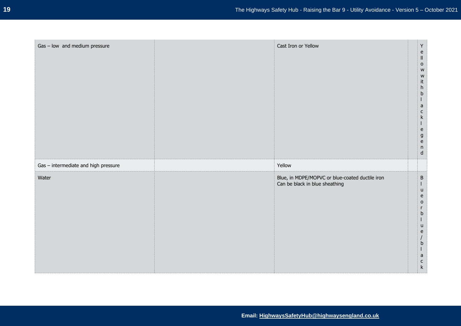| Gas - low and medium pressure        | Cast Iron or Yellow                                                               | $\mathsf Y$<br>$\mathsf{e}% _{t}\left( t\right)$<br>$\parallel$<br>$\mathsf{o}$<br>${\sf W}$<br>W<br>it<br>$\boldsymbol{\mathsf{h}}$<br>$\mathsf b$<br>$\mathsf{a}$<br>$\mathsf{C}$<br>$\mathsf k$<br>$\mathbf{I}$<br>$\mathsf{e}% _{t}\left( t\right)$<br>$\boldsymbol{g}$<br>$\mathsf{e}% _{t}\left( t\right)$<br>$\sf n$<br>$\mathsf{d}$ |
|--------------------------------------|-----------------------------------------------------------------------------------|---------------------------------------------------------------------------------------------------------------------------------------------------------------------------------------------------------------------------------------------------------------------------------------------------------------------------------------------|
| Gas - intermediate and high pressure | Yellow                                                                            |                                                                                                                                                                                                                                                                                                                                             |
| Water                                | Blue, in MDPE/MOPVC or blue-coated ductile iron<br>Can be black in blue sheathing | $\sf B$<br>$\mathbf{I}$<br>$\sf u$<br>$\mathsf{e}% _{t}\left( t\right)$<br>$\circ$<br>r<br>b<br>u<br>e<br>$\mathsf b$<br>$\mathsf{a}$<br>$\mathsf{C}$<br>$\mathsf k$                                                                                                                                                                        |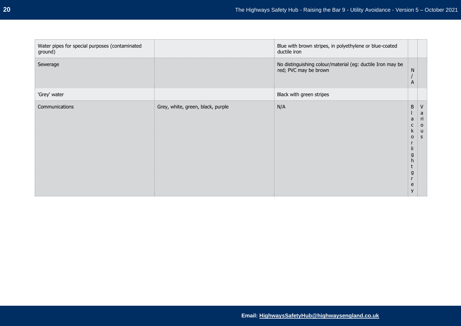| Water pipes for special purposes (contaminated<br>ground) |                                   | Blue with brown stripes, in polyethylene or blue-coated<br>ductile iron             |                                                            |                                                |
|-----------------------------------------------------------|-----------------------------------|-------------------------------------------------------------------------------------|------------------------------------------------------------|------------------------------------------------|
| Sewerage                                                  |                                   | No distinguishing colour/material (eg: ductile Iron may be<br>red; PVC may be brown | N<br>A                                                     |                                                |
| 'Grey' water                                              |                                   | Black with green stripes                                                            |                                                            |                                                |
| Communications                                            | Grey, white, green, black, purple | N/A                                                                                 | B<br>a<br>K.<br>$\circ$<br>Ш<br>g<br>h<br>t<br>g<br>e<br>y | a<br><u>ri</u><br>$\circ$<br>u<br><sub>S</sub> |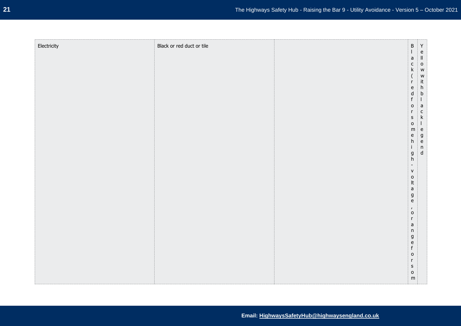| Electricity | Black or red duct or tile | $\sf B$                                                              | $\mathsf{Y}$                               |
|-------------|---------------------------|----------------------------------------------------------------------|--------------------------------------------|
|             |                           | $\mathsf a$<br>$\mathsf{C}$                                          | $\frac{e}{\parallel}$<br>$\circ$           |
|             |                           | $\mathsf k$<br>$\overline{(\ }$                                      | ${\sf w}$                                  |
|             |                           | $\mathsf{r}$<br>$\mathsf{e}% _{0}\left( \mathsf{e}\right)$           | w<br>it<br>h                               |
|             |                           | $\operatorname{\mathsf{d}}$<br>$\mathsf f$<br>$\mathsf{o}$           | $\mathsf b$<br>$\frac{1}{a}$               |
|             |                           | $\mathsf{r}$<br>$\sf S$                                              | k                                          |
|             |                           | $\mathsf{o}$<br>${\sf m}$                                            | $\mathbf{I}$<br>$\vert$ e                  |
|             |                           | $\mathsf{e}% _{0}\left( \mathsf{e}\right)$<br>h<br>$\mathbf{i}$      | $\begin{array}{c} g \\ e \\ n \end{array}$ |
|             |                           | $\mathsf g$<br>h                                                     | ${\sf d}$                                  |
|             |                           | $\sim$<br>${\sf V}$                                                  |                                            |
|             |                           | $\mathsf{o}$<br>$\ensuremath{\mathsf{lt}}$                           |                                            |
|             |                           | $\mathsf a$<br>$\boldsymbol{g}$<br>$\mathsf{e}% _{t}\left( t\right)$ |                                            |
|             |                           | $\mathbf{r}$<br>$\mathsf{o}$                                         |                                            |
|             |                           | $\mathsf{r}$<br>$\mathsf a$                                          |                                            |
|             |                           | $\sf n$<br>$\mathsf g$<br>$\mathsf{e}% _{0}\left( \mathsf{e}\right)$ |                                            |
|             |                           | $\mathsf f$<br>$\mathsf{o}$                                          |                                            |
|             |                           | $\mathsf{r}$<br>$\sf S$                                              |                                            |
|             |                           | $\mathsf{o}$<br>m                                                    |                                            |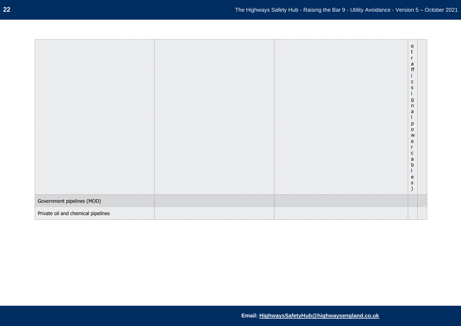|                                    |  | e              |
|------------------------------------|--|----------------|
|                                    |  |                |
|                                    |  |                |
|                                    |  |                |
|                                    |  | r              |
|                                    |  |                |
|                                    |  | a<br>ff        |
|                                    |  |                |
|                                    |  |                |
|                                    |  |                |
|                                    |  | $\mathsf{C}$   |
|                                    |  |                |
|                                    |  | s              |
|                                    |  |                |
|                                    |  |                |
|                                    |  | g              |
|                                    |  |                |
|                                    |  | $\sf n$        |
|                                    |  | a              |
|                                    |  |                |
|                                    |  |                |
|                                    |  | р              |
|                                    |  |                |
|                                    |  | $\mathsf{o}\,$ |
|                                    |  | ${\sf W}$      |
|                                    |  |                |
|                                    |  | e              |
|                                    |  |                |
|                                    |  | r              |
|                                    |  | c              |
|                                    |  |                |
|                                    |  | a              |
|                                    |  | b              |
|                                    |  |                |
|                                    |  |                |
|                                    |  | e              |
|                                    |  |                |
|                                    |  | S              |
|                                    |  |                |
|                                    |  |                |
|                                    |  |                |
|                                    |  |                |
| Government pipelines (MOD)         |  |                |
|                                    |  |                |
|                                    |  |                |
| Private oil and chemical pipelines |  |                |
|                                    |  |                |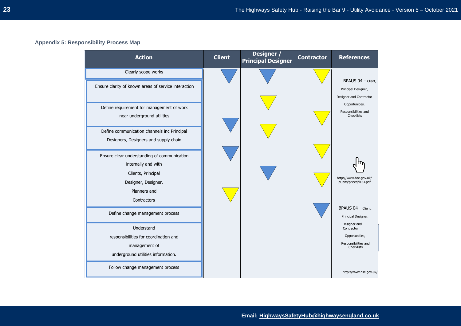#### **Appendix 5: Responsibility Process Map**